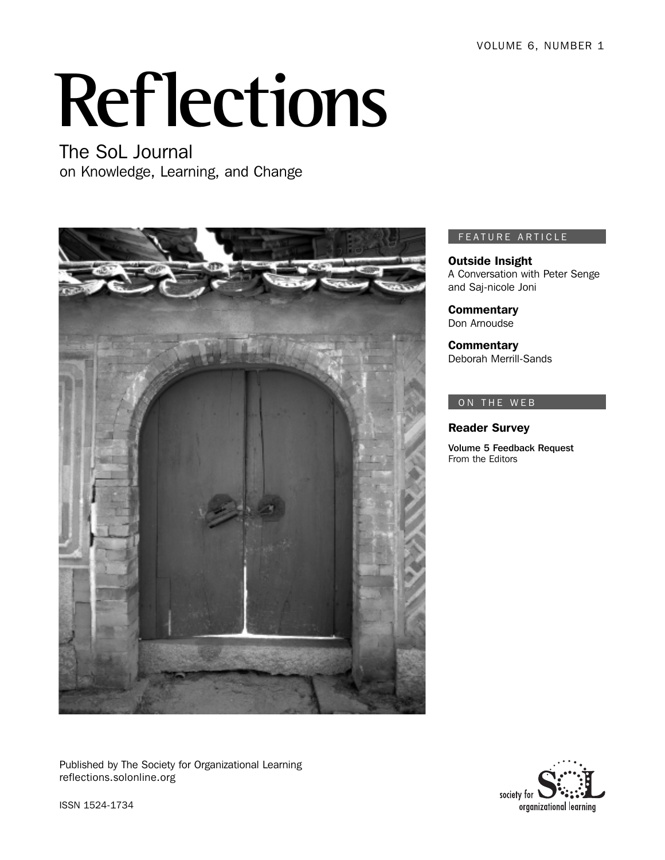VOLUME 6, NUMBER 1

# **Reflections**

The SoL Journal on Knowledge, Learning, and Change



#### FEATURE ARTICLE

Outside Insight A Conversation with Peter Senge and Saj-nicole Joni

**Commentary** Don Arnoudse

**Commentary** Deborah Merrill-Sands

#### ON THE WEB

Reader Survey

Volume 5 Feedback Request From the Editors

Published by The Society for Organizational Learning reflections.solonline.org



ISSN 1524-1734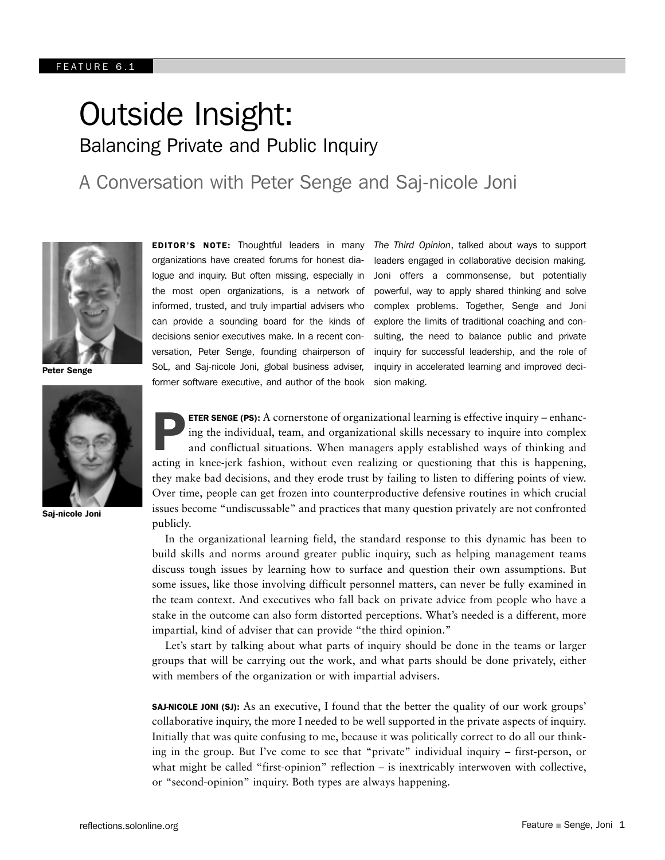# Outside Insight: Balancing Private and Public Inquiry

A Conversation with Peter Senge and Saj-nicole Joni



Peter Senge



Saj-nicole Joni

EDITOR'S NOTE: Thoughtful leaders in many organizations have created forums for honest dialogue and inquiry. But often missing, especially in the most open organizations, is a network of informed, trusted, and truly impartial advisers who can provide a sounding board for the kinds of decisions senior executives make. In a recent conversation, Peter Senge, founding chairperson of SoL, and Saj-nicole Joni, global business adviser, former software executive, and author of the book *The Third Opinion*, talked about ways to support leaders engaged in collaborative decision making. Joni offers a commonsense, but potentially powerful, way to apply shared thinking and solve complex problems. Together, Senge and Joni explore the limits of traditional coaching and consulting, the need to balance public and private inquiry for successful leadership, and the role of inquiry in accelerated learning and improved decision making.

ETER SENGE (PS): A cornerstone of organizational learning is effective inquiry – enhancing the individual, team, and organizational skills necessary to inquire into complex and conflictual situations. When managers apply established ways of thinking and **ETER SENGE (PS):** A cornerstone of organizational learning is effective inquiry – enhancing the individual, team, and organizational skills necessary to inquire into complex and conflictual situations. When managers apply they make bad decisions, and they erode trust by failing to listen to differing points of view. Over time, people can get frozen into counterproductive defensive routines in which crucial issues become "undiscussable" and practices that many question privately are not confronted publicly.

In the organizational learning field, the standard response to this dynamic has been to build skills and norms around greater public inquiry, such as helping management teams discuss tough issues by learning how to surface and question their own assumptions. But some issues, like those involving difficult personnel matters, can never be fully examined in the team context. And executives who fall back on private advice from people who have a stake in the outcome can also form distorted perceptions. What's needed is a different, more impartial, kind of adviser that can provide "the third opinion."

Let's start by talking about what parts of inquiry should be done in the teams or larger groups that will be carrying out the work, and what parts should be done privately, either with members of the organization or with impartial advisers.

SAJ-NICOLE JONI (SJ): As an executive, I found that the better the quality of our work groups' collaborative inquiry, the more I needed to be well supported in the private aspects of inquiry. Initially that was quite confusing to me, because it was politically correct to do all our thinking in the group. But I've come to see that "private" individual inquiry – first-person, or what might be called "first-opinion" reflection – is inextricably interwoven with collective, or "second-opinion" inquiry. Both types are always happening.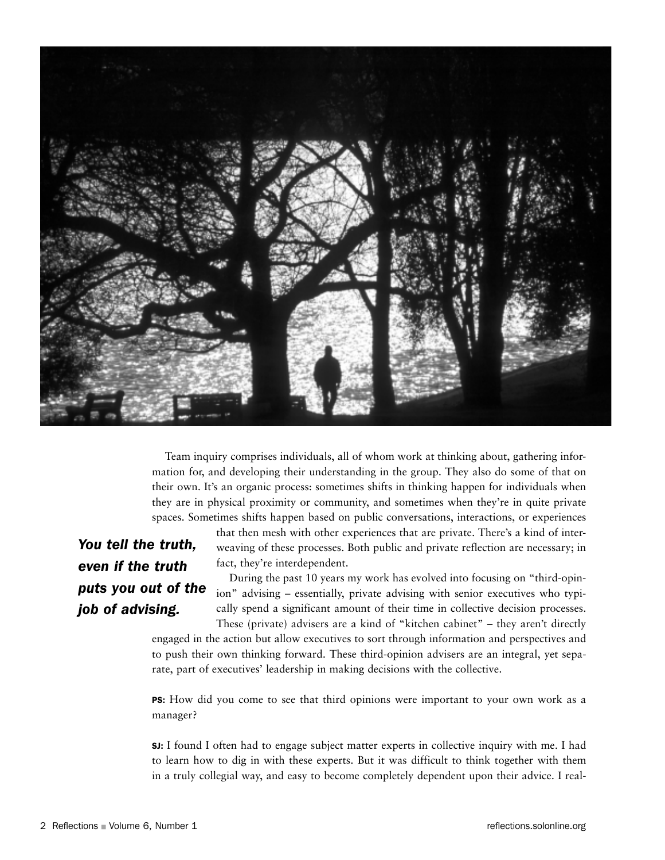

Team inquiry comprises individuals, all of whom work at thinking about, gathering information for, and developing their understanding in the group. They also do some of that on their own. It's an organic process: sometimes shifts in thinking happen for individuals when they are in physical proximity or community, and sometimes when they're in quite private spaces. Sometimes shifts happen based on public conversations, interactions, or experiences

## *You tell the truth, even if the truth puts you out of the job of advising.*

that then mesh with other experiences that are private. There's a kind of interweaving of these processes. Both public and private reflection are necessary; in fact, they're interdependent.

During the past 10 years my work has evolved into focusing on "third-opinion" advising – essentially, private advising with senior executives who typically spend a significant amount of their time in collective decision processes. These (private) advisers are a kind of "kitchen cabinet" – they aren't directly

engaged in the action but allow executives to sort through information and perspectives and to push their own thinking forward. These third-opinion advisers are an integral, yet separate, part of executives' leadership in making decisions with the collective.

PS: How did you come to see that third opinions were important to your own work as a manager?

SJ: I found I often had to engage subject matter experts in collective inquiry with me. I had to learn how to dig in with these experts. But it was difficult to think together with them in a truly collegial way, and easy to become completely dependent upon their advice. I real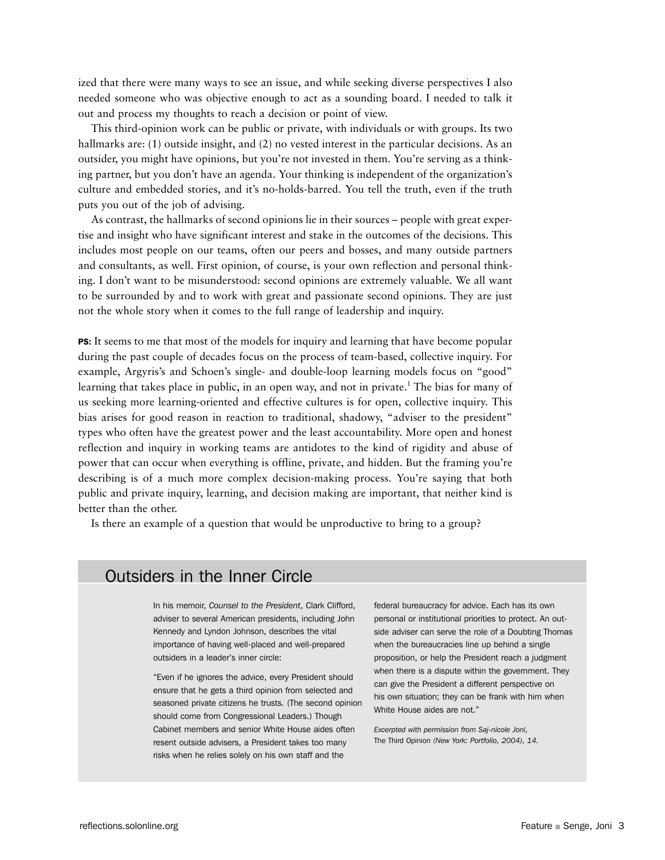ized that there were many ways to see an issue, and while seeking diverse perspectives I also needed someone who was objective enough to act as a sounding board. I needed to talk it out and process my thoughts to reach a decision or point of view.

This third-opinion work can be public or private, with individuals or with groups. Its two hallmarks are: (1) outside insight, and (2) no vested interest in the particular decisions. As an outsider, you might have opinions, but you're not invested in them. You're serving as a thinking partner, but you don't have an agenda. Your thinking is independent of the organization's culture and embedded stories, and it's no-holds-barred. You tell the truth, even if the truth puts you out of the job of advising.

As contrast, the hallmarks of second opinions lie in their sources – people with great expertise and insight who have significant interest and stake in the outcomes of the decisions. This includes most people on our teams, often our peers and bosses, and many outside partners and consultants, as well. First opinion, of course, is your own reflection and personal thinking. I don't want to be misunderstood: second opinions are extremely valuable. We all want to be surrounded by and to work with great and passionate second opinions. They are just not the whole story when it comes to the full range of leadership and inquiry.

PS: It seems to me that most of the models for inquiry and learning that have become popular during the past couple of decades focus on the process of team-based, collective inquiry. For example, Argyris's and Schoen's single- and double-loop learning models focus on "good" learning that takes place in public, in an open way, and not in private.<sup>1</sup> The bias for many of us seeking more learning-oriented and effective cultures is for open, collective inquiry. This bias arises for good reason in reaction to traditional, shadowy, "adviser to the president" types who often have the greatest power and the least accountability. More open and honest reflection and inquiry in working teams are antidotes to the kind of rigidity and abuse of power that can occur when everything is offline, private, and hidden. But the framing you're describing is of a much more complex decision-making process. You're saying that both public and private inquiry, learning, and decision making are important, that neither kind is better than the other.

Is there an example of a question that would be unproductive to bring to a group?

### Outsiders in the Inner Circle

In his memoir, *Counsel to the President*, Clark Clifford, adviser to several American presidents, including John Kennedy and Lyndon Johnson, describes the vital importance of having well-placed and well-prepared outsiders in a leader's inner circle:

"Even if he ignores the advice, every President should ensure that he gets a third opinion from selected and seasoned private citizens he trusts. (The second opinion should come from Congressional Leaders.) Though Cabinet members and senior White House aides often resent outside advisers, a President takes too many risks when he relies solely on his own staff and the

federal bureaucracy for advice. Each has its own personal or institutional priorities to protect. An outside adviser can serve the role of a Doubting Thomas when the bureaucracies line up behind a single proposition, or help the President reach a judgment when there is a dispute within the government. They can give the President a different perspective on his own situation; they can be frank with him when White House aides are not."

*Excerpted with permission from Saj-nicole Joni,*  The Third Opinion *(New York: Portfolio, 2004), 14.*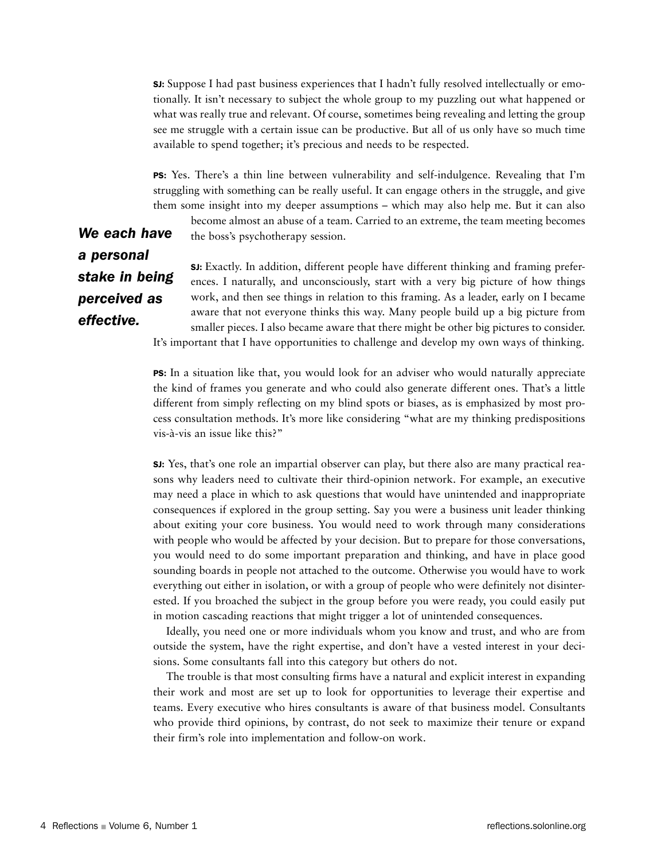SJ: Suppose I had past business experiences that I hadn't fully resolved intellectually or emotionally. It isn't necessary to subject the whole group to my puzzling out what happened or what was really true and relevant. Of course, sometimes being revealing and letting the group see me struggle with a certain issue can be productive. But all of us only have so much time available to spend together; it's precious and needs to be respected.

PS: Yes. There's a thin line between vulnerability and self-indulgence. Revealing that I'm struggling with something can be really useful. It can engage others in the struggle, and give them some insight into my deeper assumptions – which may also help me. But it can also become almost an abuse of a team. Carried to an extreme, the team meeting becomes

*We each have a personal stake in being perceived as effective.* 

the boss's psychotherapy session.

SJ: Exactly. In addition, different people have different thinking and framing preferences. I naturally, and unconsciously, start with a very big picture of how things work, and then see things in relation to this framing. As a leader, early on I became aware that not everyone thinks this way. Many people build up a big picture from smaller pieces. I also became aware that there might be other big pictures to consider. It's important that I have opportunities to challenge and develop my own ways of thinking.

PS: In a situation like that, you would look for an adviser who would naturally appreciate the kind of frames you generate and who could also generate different ones. That's a little different from simply reflecting on my blind spots or biases, as is emphasized by most process consultation methods. It's more like considering "what are my thinking predispositions vis-à-vis an issue like this?"

SJ: Yes, that's one role an impartial observer can play, but there also are many practical reasons why leaders need to cultivate their third-opinion network. For example, an executive may need a place in which to ask questions that would have unintended and inappropriate consequences if explored in the group setting. Say you were a business unit leader thinking about exiting your core business. You would need to work through many considerations with people who would be affected by your decision. But to prepare for those conversations, you would need to do some important preparation and thinking, and have in place good sounding boards in people not attached to the outcome. Otherwise you would have to work everything out either in isolation, or with a group of people who were definitely not disinterested. If you broached the subject in the group before you were ready, you could easily put in motion cascading reactions that might trigger a lot of unintended consequences.

Ideally, you need one or more individuals whom you know and trust, and who are from outside the system, have the right expertise, and don't have a vested interest in your decisions. Some consultants fall into this category but others do not.

The trouble is that most consulting firms have a natural and explicit interest in expanding their work and most are set up to look for opportunities to leverage their expertise and teams. Every executive who hires consultants is aware of that business model. Consultants who provide third opinions, by contrast, do not seek to maximize their tenure or expand their firm's role into implementation and follow-on work.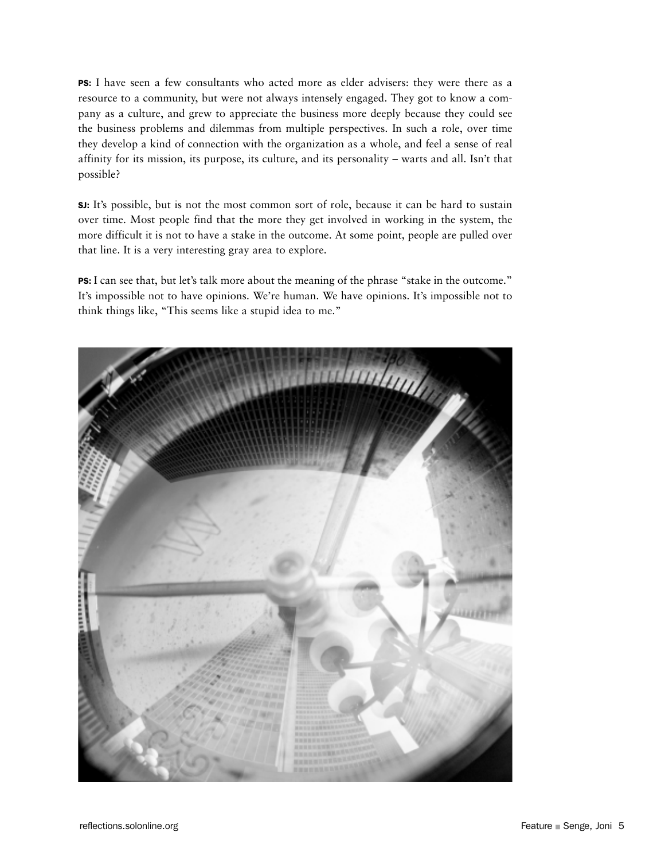PS: I have seen a few consultants who acted more as elder advisers: they were there as a resource to a community, but were not always intensely engaged. They got to know a company as a culture, and grew to appreciate the business more deeply because they could see the business problems and dilemmas from multiple perspectives. In such a role, over time they develop a kind of connection with the organization as a whole, and feel a sense of real affinity for its mission, its purpose, its culture, and its personality – warts and all. Isn't that possible?

SJ: It's possible, but is not the most common sort of role, because it can be hard to sustain over time. Most people find that the more they get involved in working in the system, the more difficult it is not to have a stake in the outcome. At some point, people are pulled over that line. It is a very interesting gray area to explore.

PS: I can see that, but let's talk more about the meaning of the phrase "stake in the outcome." It's impossible not to have opinions. We're human. We have opinions. It's impossible not to think things like, "This seems like a stupid idea to me."

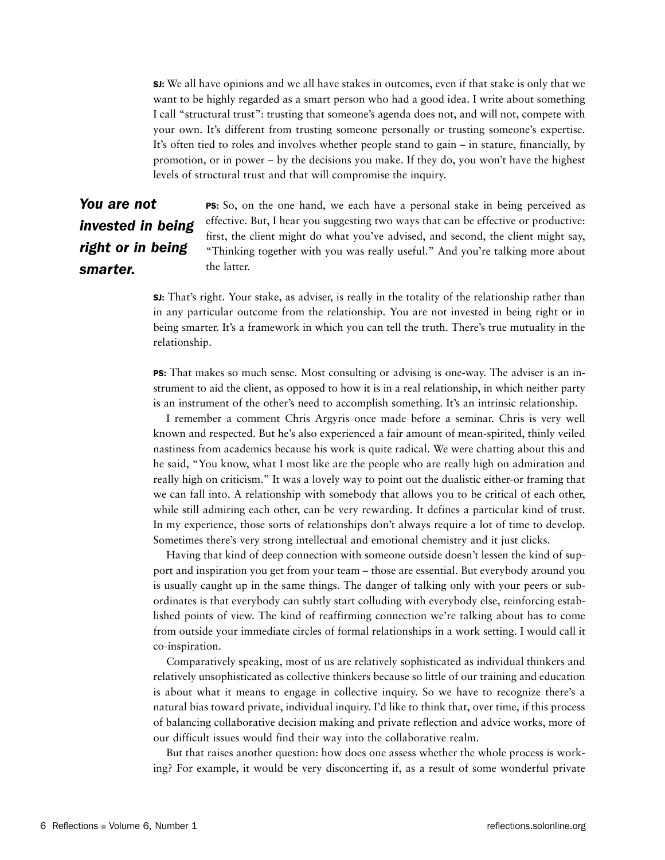SJ: We all have opinions and we all have stakes in outcomes, even if that stake is only that we want to be highly regarded as a smart person who had a good idea. I write about something I call "structural trust": trusting that someone's agenda does not, and will not, compete with your own. It's different from trusting someone personally or trusting someone's expertise. It's often tied to roles and involves whether people stand to gain – in stature, financially, by promotion, or in power – by the decisions you make. If they do, you won't have the highest levels of structural trust and that will compromise the inquiry.

## *You are not invested in being right or in being smarter.*

PS: So, on the one hand, we each have a personal stake in being perceived as effective. But, I hear you suggesting two ways that can be effective or productive: first, the client might do what you've advised, and second, the client might say, "Thinking together with you was really useful." And you're talking more about the latter.

SJ: That's right. Your stake, as adviser, is really in the totality of the relationship rather than in any particular outcome from the relationship. You are not invested in being right or in being smarter. It's a framework in which you can tell the truth. There's true mutuality in the relationship.

PS: That makes so much sense. Most consulting or advising is one-way. The adviser is an instrument to aid the client, as opposed to how it is in a real relationship, in which neither party is an instrument of the other's need to accomplish something. It's an intrinsic relationship.

I remember a comment Chris Argyris once made before a seminar. Chris is very well known and respected. But he's also experienced a fair amount of mean-spirited, thinly veiled nastiness from academics because his work is quite radical. We were chatting about this and he said, "You know, what I most like are the people who are really high on admiration and really high on criticism." It was a lovely way to point out the dualistic either-or framing that we can fall into. A relationship with somebody that allows you to be critical of each other, while still admiring each other, can be very rewarding. It defines a particular kind of trust. In my experience, those sorts of relationships don't always require a lot of time to develop. Sometimes there's very strong intellectual and emotional chemistry and it just clicks.

Having that kind of deep connection with someone outside doesn't lessen the kind of support and inspiration you get from your team – those are essential. But everybody around you is usually caught up in the same things. The danger of talking only with your peers or subordinates is that everybody can subtly start colluding with everybody else, reinforcing established points of view. The kind of reaffirming connection we're talking about has to come from outside your immediate circles of formal relationships in a work setting. I would call it co-inspiration.

Comparatively speaking, most of us are relatively sophisticated as individual thinkers and relatively unsophisticated as collective thinkers because so little of our training and education is about what it means to engage in collective inquiry. So we have to recognize there's a natural bias toward private, individual inquiry. I'd like to think that, over time, if this process of balancing collaborative decision making and private reflection and advice works, more of our difficult issues would find their way into the collaborative realm.

But that raises another question: how does one assess whether the whole process is working? For example, it would be very disconcerting if, as a result of some wonderful private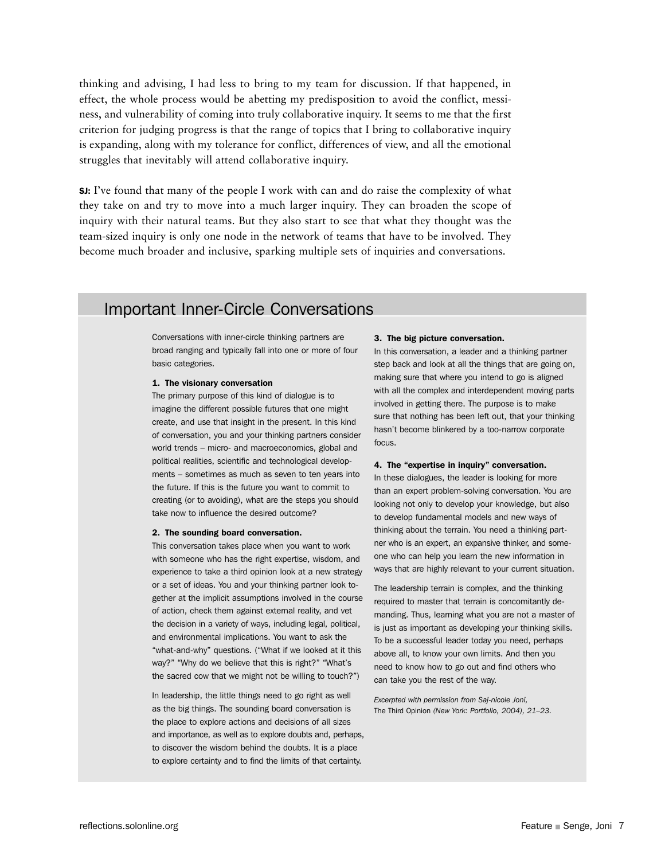thinking and advising, I had less to bring to my team for discussion. If that happened, in effect, the whole process would be abetting my predisposition to avoid the conflict, messiness, and vulnerability of coming into truly collaborative inquiry. It seems to me that the first criterion for judging progress is that the range of topics that I bring to collaborative inquiry is expanding, along with my tolerance for conflict, differences of view, and all the emotional struggles that inevitably will attend collaborative inquiry.

SJ: I've found that many of the people I work with can and do raise the complexity of what they take on and try to move into a much larger inquiry. They can broaden the scope of inquiry with their natural teams. But they also start to see that what they thought was the team-sized inquiry is only one node in the network of teams that have to be involved. They become much broader and inclusive, sparking multiple sets of inquiries and conversations.

## Important Inner-Circle Conversations

Conversations with inner-circle thinking partners are broad ranging and typically fall into one or more of four basic categories.

#### 1. The visionary conversation

The primary purpose of this kind of dialogue is to imagine the different possible futures that one might create, and use that insight in the present. In this kind of conversation, you and your thinking partners consider world trends – micro- and macroeconomics, global and political realities, scientific and technological developments – sometimes as much as seven to ten years into the future. If this is the future you want to commit to creating (or to avoiding), what are the steps you should take now to influence the desired outcome?

#### 2. The sounding board conversation.

This conversation takes place when you want to work with someone who has the right expertise, wisdom, and experience to take a third opinion look at a new strategy or a set of ideas. You and your thinking partner look together at the implicit assumptions involved in the course of action, check them against external reality, and vet the decision in a variety of ways, including legal, political, and environmental implications. You want to ask the "what-and-why" questions. ("What if we looked at it this way?" "Why do we believe that this is right?" "What's the sacred cow that we might not be willing to touch?")

In leadership, the little things need to go right as well as the big things. The sounding board conversation is the place to explore actions and decisions of all sizes and importance, as well as to explore doubts and, perhaps, to discover the wisdom behind the doubts. It is a place to explore certainty and to find the limits of that certainty.

#### 3. The big picture conversation.

In this conversation, a leader and a thinking partner step back and look at all the things that are going on, making sure that where you intend to go is aligned with all the complex and interdependent moving parts involved in getting there. The purpose is to make sure that nothing has been left out, that your thinking hasn't become blinkered by a too-narrow corporate focus.

#### 4. The "expertise in inquiry" conversation.

In these dialogues, the leader is looking for more than an expert problem-solving conversation. You are looking not only to develop your knowledge, but also to develop fundamental models and new ways of thinking about the terrain. You need a thinking partner who is an expert, an expansive thinker, and someone who can help you learn the new information in ways that are highly relevant to your current situation.

The leadership terrain is complex, and the thinking required to master that terrain is concomitantly demanding. Thus, learning what you are not a master of is just as important as developing your thinking skills. To be a successful leader today you need, perhaps above all, to know your own limits. And then you need to know how to go out and find others who can take you the rest of the way.

*Excerpted with permission from Saj-nicole Joni,*  The Third Opinion *(New York: Portfolio, 2004), 21–23.*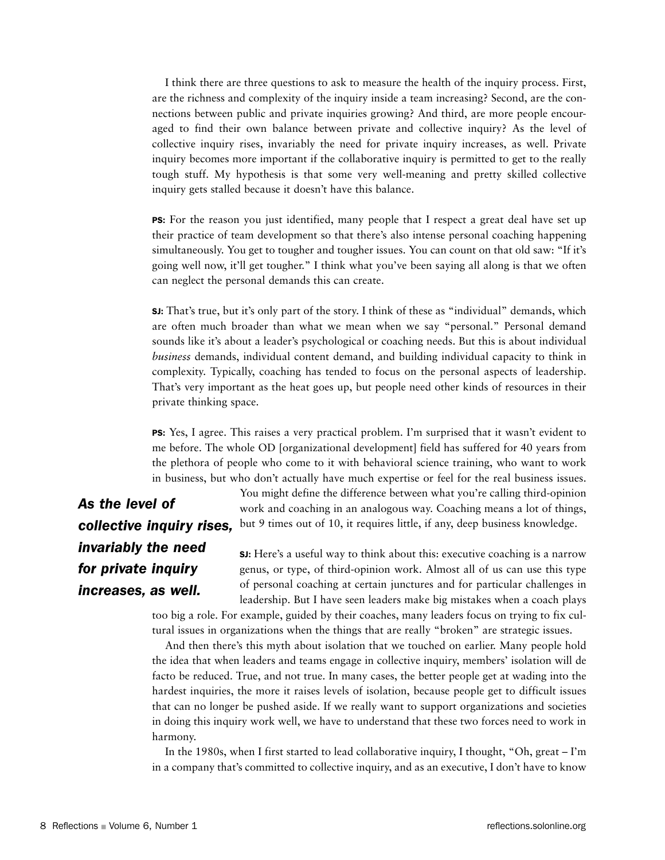I think there are three questions to ask to measure the health of the inquiry process. First, are the richness and complexity of the inquiry inside a team increasing? Second, are the connections between public and private inquiries growing? And third, are more people encouraged to find their own balance between private and collective inquiry? As the level of collective inquiry rises, invariably the need for private inquiry increases, as well. Private inquiry becomes more important if the collaborative inquiry is permitted to get to the really tough stuff. My hypothesis is that some very well-meaning and pretty skilled collective inquiry gets stalled because it doesn't have this balance.

PS: For the reason you just identified, many people that I respect a great deal have set up their practice of team development so that there's also intense personal coaching happening simultaneously. You get to tougher and tougher issues. You can count on that old saw: "If it's going well now, it'll get tougher." I think what you've been saying all along is that we often can neglect the personal demands this can create.

SJ: That's true, but it's only part of the story. I think of these as "individual" demands, which are often much broader than what we mean when we say "personal." Personal demand sounds like it's about a leader's psychological or coaching needs. But this is about individual *business* demands, individual content demand, and building individual capacity to think in complexity. Typically, coaching has tended to focus on the personal aspects of leadership. That's very important as the heat goes up, but people need other kinds of resources in their private thinking space.

PS: Yes, I agree. This raises a very practical problem. I'm surprised that it wasn't evident to me before. The whole OD [organizational development] field has suffered for 40 years from the plethora of people who come to it with behavioral science training, who want to work in business, but who don't actually have much expertise or feel for the real business issues.

*As the level of invariably the need for private inquiry increases, as well.*

You might define the difference between what you're calling third-opinion work and coaching in an analogous way. Coaching means a lot of things, **collective inquiry rises,** but 9 times out of 10, it requires little, if any, deep business knowledge.

> SJ: Here's a useful way to think about this: executive coaching is a narrow genus, or type, of third-opinion work. Almost all of us can use this type of personal coaching at certain junctures and for particular challenges in leadership. But I have seen leaders make big mistakes when a coach plays

too big a role. For example, guided by their coaches, many leaders focus on trying to fix cultural issues in organizations when the things that are really "broken" are strategic issues.

And then there's this myth about isolation that we touched on earlier. Many people hold the idea that when leaders and teams engage in collective inquiry, members' isolation will de facto be reduced. True, and not true. In many cases, the better people get at wading into the hardest inquiries, the more it raises levels of isolation, because people get to difficult issues that can no longer be pushed aside. If we really want to support organizations and societies in doing this inquiry work well, we have to understand that these two forces need to work in harmony.

In the 1980s, when I first started to lead collaborative inquiry, I thought, "Oh, great – I'm in a company that's committed to collective inquiry, and as an executive, I don't have to know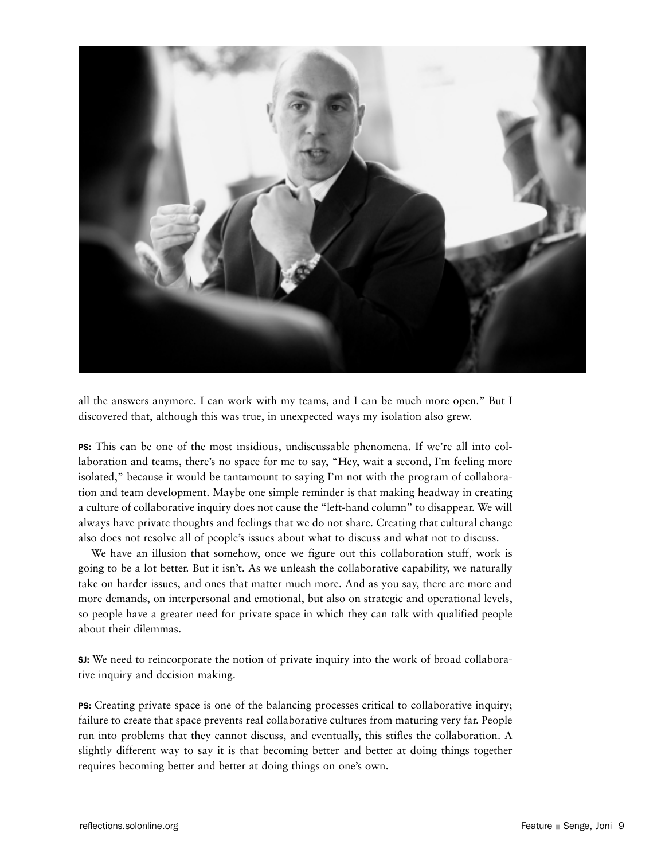

all the answers anymore. I can work with my teams, and I can be much more open." But I discovered that, although this was true, in unexpected ways my isolation also grew.

PS: This can be one of the most insidious, undiscussable phenomena. If we're all into collaboration and teams, there's no space for me to say, "Hey, wait a second, I'm feeling more isolated," because it would be tantamount to saying I'm not with the program of collaboration and team development. Maybe one simple reminder is that making headway in creating a culture of collaborative inquiry does not cause the "left-hand column" to disappear. We will always have private thoughts and feelings that we do not share. Creating that cultural change also does not resolve all of people's issues about what to discuss and what not to discuss.

We have an illusion that somehow, once we figure out this collaboration stuff, work is going to be a lot better. But it isn't. As we unleash the collaborative capability, we naturally take on harder issues, and ones that matter much more. And as you say, there are more and more demands, on interpersonal and emotional, but also on strategic and operational levels, so people have a greater need for private space in which they can talk with qualified people about their dilemmas.

SJ: We need to reincorporate the notion of private inquiry into the work of broad collaborative inquiry and decision making.

PS: Creating private space is one of the balancing processes critical to collaborative inquiry; failure to create that space prevents real collaborative cultures from maturing very far. People run into problems that they cannot discuss, and eventually, this stifles the collaboration. A slightly different way to say it is that becoming better and better at doing things together requires becoming better and better at doing things on one's own.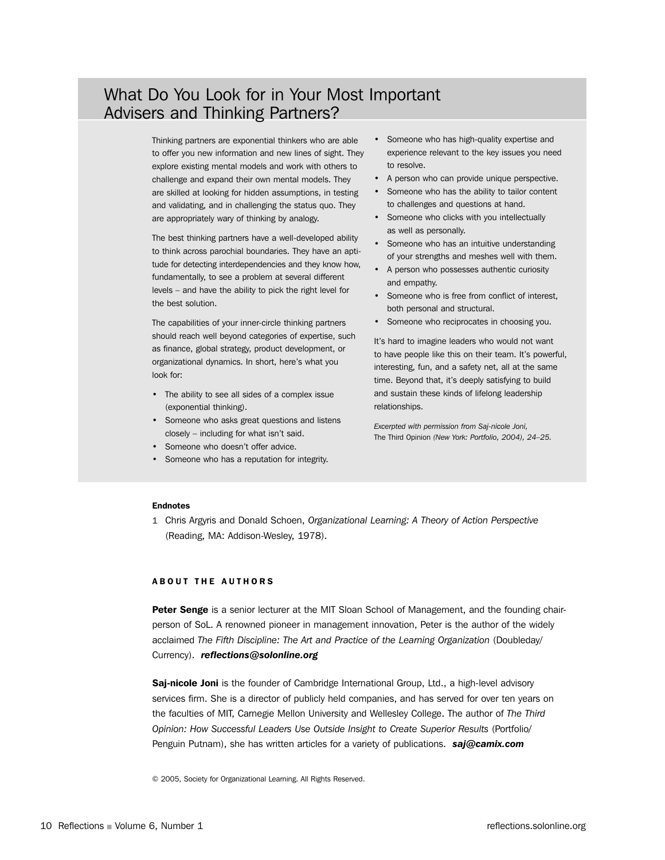## What Do You Look for in Your Most Important Advisers and Thinking Partners?

Thinking partners are exponential thinkers who are able to offer you new information and new lines of sight. They explore existing mental models and work with others to challenge and expand their own mental models. They are skilled at looking for hidden assumptions, in testing and validating, and in challenging the status quo. They are appropriately wary of thinking by analogy.

The best thinking partners have a well-developed ability to think across parochial boundaries. They have an aptitude for detecting interdependencies and they know how, fundamentally, to see a problem at several different levels – and have the ability to pick the right level for the best solution.

The capabilities of your inner-circle thinking partners should reach well beyond categories of expertise, such as finance, global strategy, product development, or organizational dynamics. In short, here's what you look for:

- The ability to see all sides of a complex issue (exponential thinking).
- Someone who asks great questions and listens closely – including for what isn't said.
- Someone who doesn't offer advice.
- Someone who has a reputation for integrity.
- Someone who has high-quality expertise and experience relevant to the key issues you need to resolve.
- A person who can provide unique perspective.
- Someone who has the ability to tailor content to challenges and questions at hand.
- Someone who clicks with you intellectually as well as personally.
- Someone who has an intuitive understanding of your strengths and meshes well with them.
- A person who possesses authentic curiosity and empathy.
- Someone who is free from conflict of interest, both personal and structural.
- Someone who reciprocates in choosing you.

It's hard to imagine leaders who would not want to have people like this on their team. It's powerful, interesting, fun, and a safety net, all at the same time. Beyond that, it's deeply satisfying to build and sustain these kinds of lifelong leadership relationships.

*Excerpted with permission from Saj-nicole Joni,*  The Third Opinion *(New York: Portfolio, 2004), 24–25.*

#### Endnotes

1 Chris Argyris and Donald Schoen, *Organizational Learning: A Theory of Action Perspective* (Reading, MA: Addison-Wesley, 1978).

#### ABOUT THE AUTHORS

Peter Senge is a senior lecturer at the MIT Sloan School of Management, and the founding chairperson of SoL. A renowned pioneer in management innovation, Peter is the author of the widely acclaimed *The Fifth Discipline: The Art and Practice of the Learning Organization* (Doubleday/ Currency). *reflections@solonline.org*

Saj-nicole Joni is the founder of Cambridge International Group, Ltd., a high-level advisory services firm. She is a director of publicly held companies, and has served for over ten years on the faculties of MIT, Carnegie Mellon University and Wellesley College. The author of *The Third Opinion: How Successful Leaders Use Outside Insight to Create Superior Results* (Portfolio/ Penguin Putnam), she has written articles for a variety of publications. *saj@camix.com*

© 2005, Society for Organizational Learning. All Rights Reserved.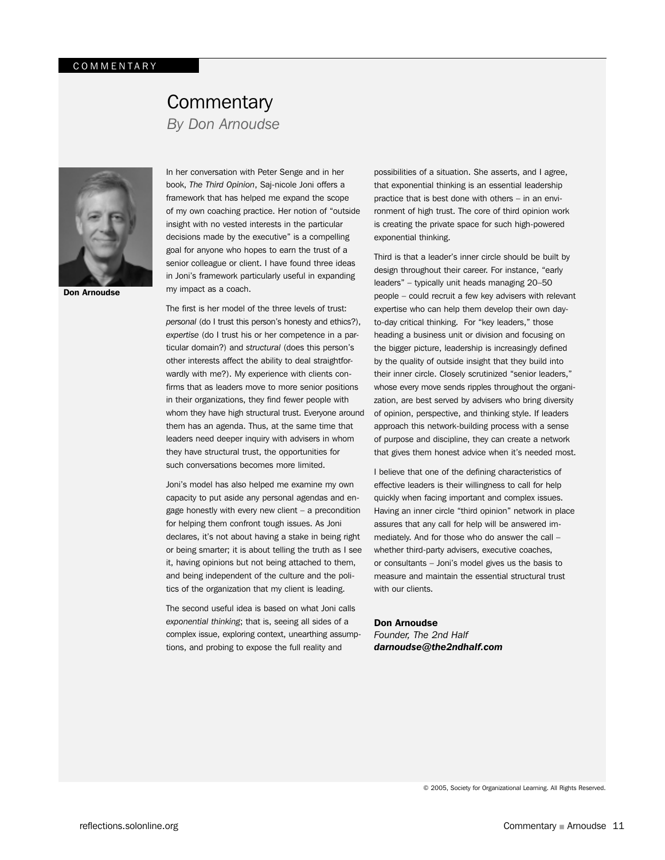## **Commentary**

*By Don Arnoudse*



Don Arnoudse

In her conversation with Peter Senge and in her book, *The Third Opinion*, Saj-nicole Joni offers a framework that has helped me expand the scope of my own coaching practice. Her notion of "outside insight with no vested interests in the particular decisions made by the executive" is a compelling goal for anyone who hopes to earn the trust of a senior colleague or client. I have found three ideas in Joni's framework particularly useful in expanding my impact as a coach.

The first is her model of the three levels of trust: *personal* (do I trust this person's honesty and ethics?), *expertise* (do I trust his or her competence in a particular domain?) and *structural* (does this person's other interests affect the ability to deal straightforwardly with me?). My experience with clients confirms that as leaders move to more senior positions in their organizations, they find fewer people with whom they have high structural trust. Everyone around them has an agenda. Thus, at the same time that leaders need deeper inquiry with advisers in whom they have structural trust, the opportunities for such conversations becomes more limited.

Joni's model has also helped me examine my own capacity to put aside any personal agendas and engage honestly with every new client – a precondition for helping them confront tough issues. As Joni declares, it's not about having a stake in being right or being smarter; it is about telling the truth as I see it, having opinions but not being attached to them, and being independent of the culture and the politics of the organization that my client is leading.

The second useful idea is based on what Joni calls *exponential thinking*; that is, seeing all sides of a complex issue, exploring context, unearthing assumptions, and probing to expose the full reality and

possibilities of a situation. She asserts, and I agree, that exponential thinking is an essential leadership practice that is best done with others – in an environment of high trust. The core of third opinion work is creating the private space for such high-powered exponential thinking.

Third is that a leader's inner circle should be built by design throughout their career. For instance, "early leaders" – typically unit heads managing 20–50 people – could recruit a few key advisers with relevant expertise who can help them develop their own dayto-day critical thinking. For "key leaders," those heading a business unit or division and focusing on the bigger picture, leadership is increasingly defined by the quality of outside insight that they build into their inner circle. Closely scrutinized "senior leaders," whose every move sends ripples throughout the organization, are best served by advisers who bring diversity of opinion, perspective, and thinking style. If leaders approach this network-building process with a sense of purpose and discipline, they can create a network that gives them honest advice when it's needed most.

I believe that one of the defining characteristics of effective leaders is their willingness to call for help quickly when facing important and complex issues. Having an inner circle "third opinion" network in place assures that any call for help will be answered immediately. And for those who do answer the call – whether third-party advisers, executive coaches, or consultants – Joni's model gives us the basis to measure and maintain the essential structural trust with our clients.

#### Don Arnoudse

*Founder, The 2nd Half darnoudse@the2ndhalf.com*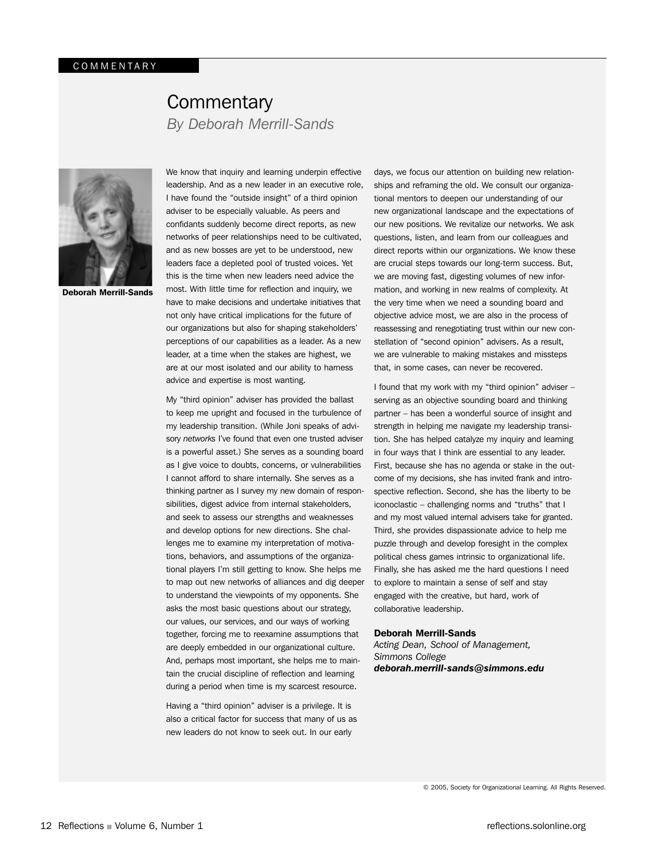## **Commentary** *By Deborah Merrill-Sands*



Deborah Merrill-Sands

We know that inquiry and learning underpin effective leadership. And as a new leader in an executive role, I have found the "outside insight" of a third opinion adviser to be especially valuable. As peers and confidants suddenly become direct reports, as new networks of peer relationships need to be cultivated, and as new bosses are yet to be understood, new leaders face a depleted pool of trusted voices. Yet this is the time when new leaders need advice the most. With little time for reflection and inquiry, we have to make decisions and undertake initiatives that not only have critical implications for the future of our organizations but also for shaping stakeholders' perceptions of our capabilities as a leader. As a new leader, at a time when the stakes are highest, we are at our most isolated and our ability to harness advice and expertise is most wanting.

My "third opinion" adviser has provided the ballast to keep me upright and focused in the turbulence of my leadership transition. (While Joni speaks of advisory *networks* I've found that even one trusted adviser is a powerful asset.) She serves as a sounding board as I give voice to doubts, concerns, or vulnerabilities I cannot afford to share internally. She serves as a thinking partner as I survey my new domain of responsibilities, digest advice from internal stakeholders, and seek to assess our strengths and weaknesses and develop options for new directions. She challenges me to examine my interpretation of motivations, behaviors, and assumptions of the organizational players I'm still getting to know. She helps me to map out new networks of alliances and dig deeper to understand the viewpoints of my opponents. She asks the most basic questions about our strategy, our values, our services, and our ways of working together, forcing me to reexamine assumptions that are deeply embedded in our organizational culture. And, perhaps most important, she helps me to maintain the crucial discipline of reflection and learning during a period when time is my scarcest resource.

Having a "third opinion" adviser is a privilege. It is also a critical factor for success that many of us as new leaders do not know to seek out. In our early

days, we focus our attention on building new relationships and reframing the old. We consult our organizational mentors to deepen our understanding of our new organizational landscape and the expectations of our new positions. We revitalize our networks. We ask questions, listen, and learn from our colleagues and direct reports within our organizations. We know these are crucial steps towards our long-term success. But, we are moving fast, digesting volumes of new information, and working in new realms of complexity. At the very time when we need a sounding board and objective advice most, we are also in the process of reassessing and renegotiating trust within our new constellation of "second opinion" advisers. As a result, we are vulnerable to making mistakes and missteps that, in some cases, can never be recovered.

I found that my work with my "third opinion" adviser – serving as an objective sounding board and thinking partner – has been a wonderful source of insight and strength in helping me navigate my leadership transition. She has helped catalyze my inquiry and learning in four ways that I think are essential to any leader. First, because she has no agenda or stake in the outcome of my decisions, she has invited frank and introspective reflection. Second, she has the liberty to be iconoclastic – challenging norms and "truths" that I and my most valued internal advisers take for granted. Third, she provides dispassionate advice to help me puzzle through and develop foresight in the complex political chess games intrinsic to organizational life. Finally, she has asked me the hard questions I need to explore to maintain a sense of self and stay engaged with the creative, but hard, work of collaborative leadership.

#### Deborah Merrill-Sands

*Acting Dean, School of Management, Simmons College deborah.merrill-sands@simmons.edu*

© 2005, Society for Organizational Learning. All Rights Reserved.